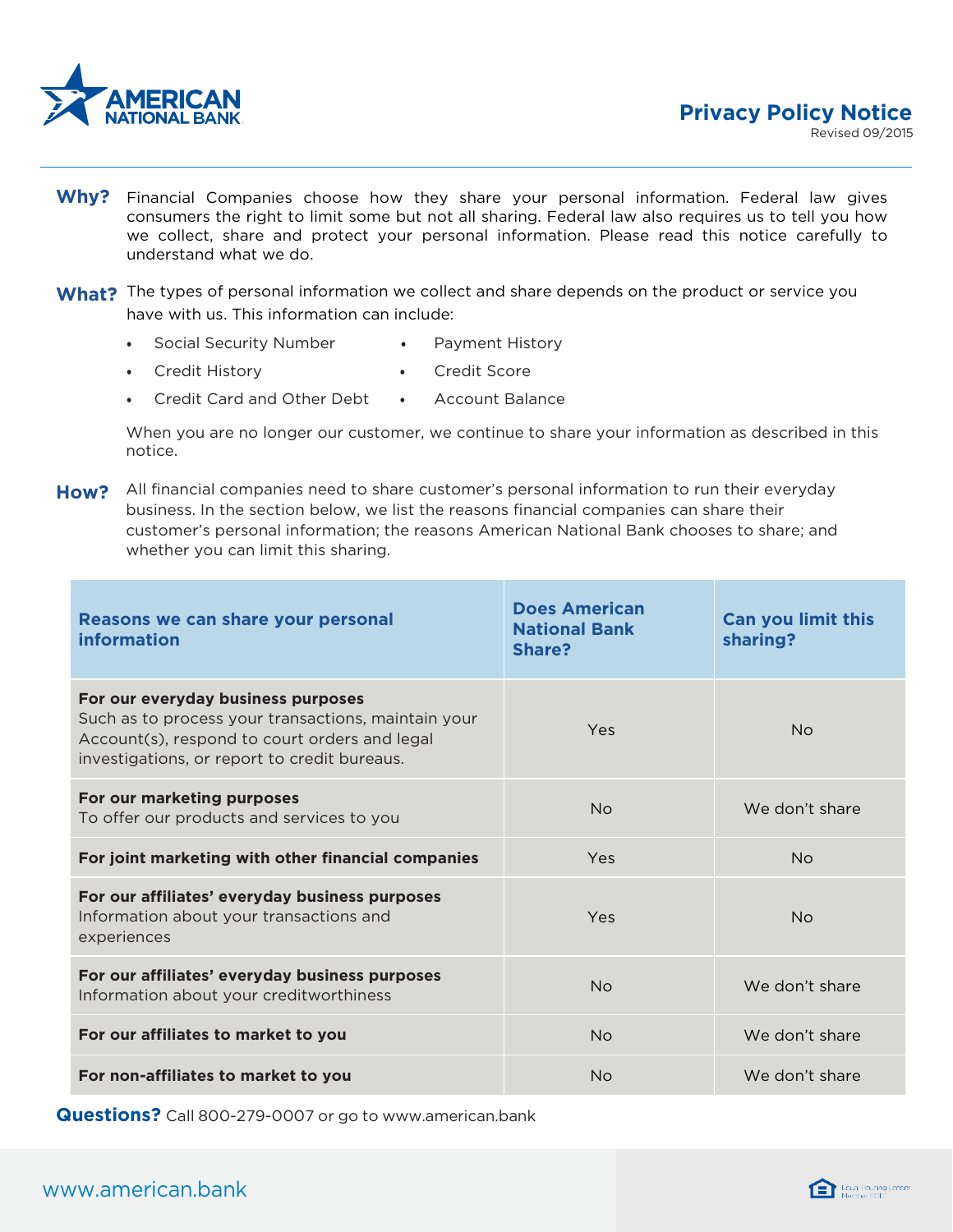

- Why? Financial Companies choose how they share your personal information. Federal law gives consumers the right to limit some but not all sharing. Federal law also requires us to tell you how we collect, share and protect your personal information. Please read this notice carefully to understand what we do.
- What? The types of personal information we collect and share depends on the product or service you have with us. This information can include:
	- Social Security Number Payment History
	- Credit History Credit Score
	- Credit Card and Other Debt Account Balance

When you are no longer our customer, we continue to share your information as described in this notice.

**How?** All financial companies need to share customer's personal information to run their everyday business. In the section below, we list the reasons financial companies can share their customer's personal information; the reasons American National Bank chooses to share; and whether you can limit this sharing.

| Reasons we can share your personal<br><b>information</b>                                                                                                                                   | <b>Does American</b><br><b>National Bank</b><br>Share? | <b>Can you limit this</b><br>sharing? |
|--------------------------------------------------------------------------------------------------------------------------------------------------------------------------------------------|--------------------------------------------------------|---------------------------------------|
| For our everyday business purposes<br>Such as to process your transactions, maintain your<br>Account(s), respond to court orders and legal<br>investigations, or report to credit bureaus. | Yes                                                    | <b>No</b>                             |
| For our marketing purposes<br>To offer our products and services to you                                                                                                                    | No                                                     | We don't share                        |
| For joint marketing with other financial companies                                                                                                                                         | <b>Yes</b>                                             | No                                    |
| For our affiliates' everyday business purposes<br>Information about your transactions and<br>experiences                                                                                   | Yes                                                    | <b>No</b>                             |
| For our affiliates' everyday business purposes<br>Information about your creditworthiness                                                                                                  | <b>No</b>                                              | We don't share                        |
| For our affiliates to market to you                                                                                                                                                        | <b>No</b>                                              | We don't share                        |
| For non-affiliates to market to you                                                                                                                                                        | <b>No</b>                                              | We don't share                        |

**Questions?** Call 800-279-0007 or go to [www.american.bank](http://www.american.bank/)